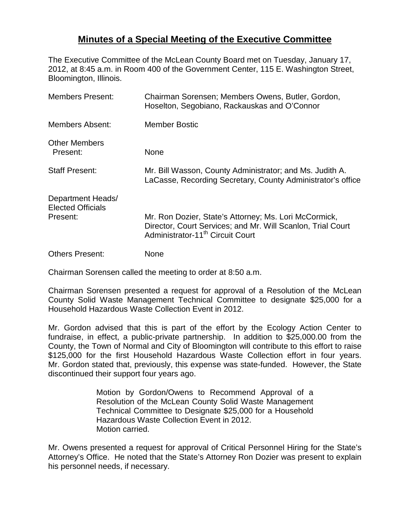## **Minutes of a Special Meeting of the Executive Committee**

The Executive Committee of the McLean County Board met on Tuesday, January 17, 2012, at 8:45 a.m. in Room 400 of the Government Center, 115 E. Washington Street, Bloomington, Illinois.

| <b>Members Present:</b>                                   | Chairman Sorensen; Members Owens, Butler, Gordon,<br>Hoselton, Segobiano, Rackauskas and O'Connor                                                                    |
|-----------------------------------------------------------|----------------------------------------------------------------------------------------------------------------------------------------------------------------------|
| <b>Members Absent:</b>                                    | <b>Member Bostic</b>                                                                                                                                                 |
| <b>Other Members</b><br>Present:                          | None                                                                                                                                                                 |
| <b>Staff Present:</b>                                     | Mr. Bill Wasson, County Administrator; and Ms. Judith A.<br>LaCasse, Recording Secretary, County Administrator's office                                              |
| Department Heads/<br><b>Elected Officials</b><br>Present: | Mr. Ron Dozier, State's Attorney; Ms. Lori McCormick,<br>Director, Court Services; and Mr. Will Scanlon, Trial Court<br>Administrator-11 <sup>th</sup> Circuit Court |
| <b>Others Present:</b>                                    | None                                                                                                                                                                 |

Chairman Sorensen called the meeting to order at 8:50 a.m.

Chairman Sorensen presented a request for approval of a Resolution of the McLean County Solid Waste Management Technical Committee to designate \$25,000 for a Household Hazardous Waste Collection Event in 2012.

Mr. Gordon advised that this is part of the effort by the Ecology Action Center to fundraise, in effect, a public-private partnership. In addition to \$25,000.00 from the County, the Town of Normal and City of Bloomington will contribute to this effort to raise \$125,000 for the first Household Hazardous Waste Collection effort in four years. Mr. Gordon stated that, previously, this expense was state-funded. However, the State discontinued their support four years ago.

> Motion by Gordon/Owens to Recommend Approval of a Resolution of the McLean County Solid Waste Management Technical Committee to Designate \$25,000 for a Household Hazardous Waste Collection Event in 2012. Motion carried.

Mr. Owens presented a request for approval of Critical Personnel Hiring for the State's Attorney's Office. He noted that the State's Attorney Ron Dozier was present to explain his personnel needs, if necessary.